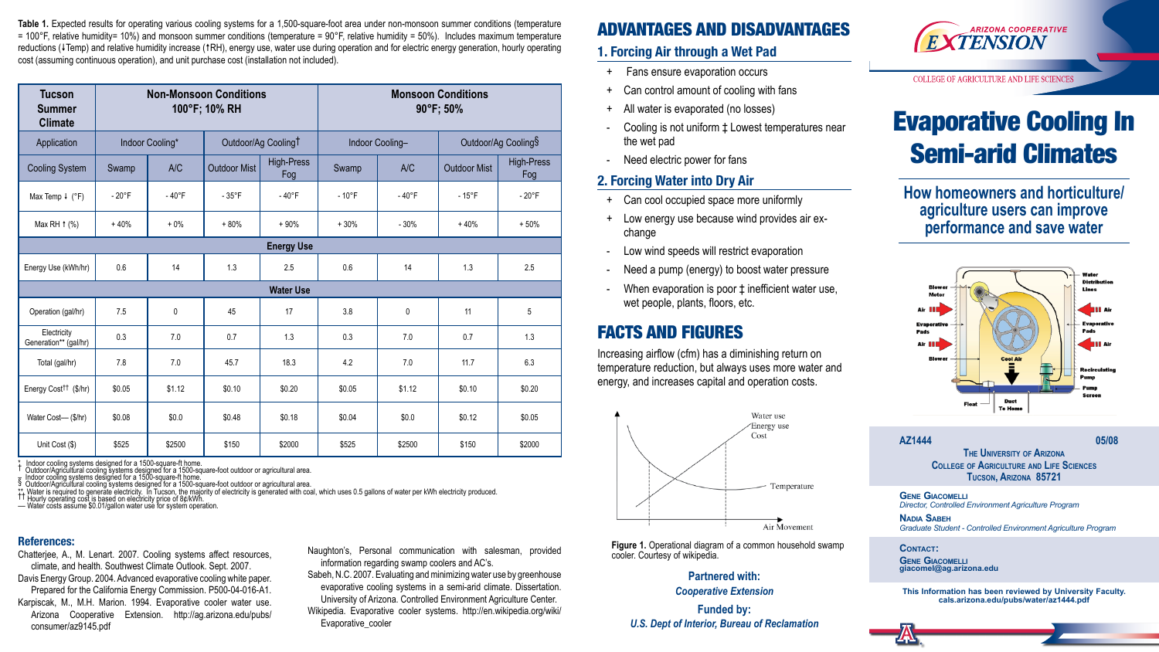# Evaporative Cooling In Semi-arid Climates

**How homeowners and horticulture/ agriculture users can improve performance and save water**



#### **AZ1444** 05/08

#### **References:**

- Chatterjee, A., M. Lenart. 2007. Cooling systems affect resources, climate, and health. Southwest Climate Outlook. Sept. 2007.
- Davis Energy Group. 2004. Advanced evaporative cooling white paper. Prepared for the California Energy Commission. P500-04-016-A1.
- Karpiscak, M., M.H. Marion. 1994. Evaporative cooler water use. Arizona Cooperative Extension. http://ag.arizona.edu/pubs/ consumer/az9145.pdf

Table 1. Expected results for operating various cooling systems for a 1,500-square-foot area under non-monsoon summer conditions (temperature  $= 100^{\circ}$ F, relative humidity= 10%) and monsoon summer conditions (temperature = 90°F, relative humidity = 50%). Includes maximum temperature reductions (VTemp) and relative humidity increase (1RH), energy use, water use during operation and for electric energy generation, hourly operating cost (assuming continuous operation), and unit purchase cost (installation not included).

| <b>Tucson</b><br><b>Summer</b><br><b>Climate</b> | <b>Non-Monsoon Conditions</b><br>100°F; 10% RH |          |                                 |                   | <b>Monsoon Conditions</b><br>90°F; 50% |          |                     |                   |
|--------------------------------------------------|------------------------------------------------|----------|---------------------------------|-------------------|----------------------------------------|----------|---------------------|-------------------|
| Application                                      | Indoor Cooling*                                |          | Outdoor/Ag Cooling <sup>T</sup> |                   | Indoor Cooling-                        |          | Outdoor/Ag Cooling§ |                   |
| <b>Cooling System</b>                            | Swamp                                          | A/C      | <b>Outdoor Mist</b>             | High-Press<br>Fog | Swamp                                  | A/C      | <b>Outdoor Mist</b> | High-Press<br>Fog |
| Max Temp $\downarrow$ (°F)                       | $-20^{\circ}F$                                 | $-40$ °F | $-35^{\circ}$ F                 | $-40^{\circ}F$    | $-10$ °F                               | $-40$ °F | $-15^{\circ}F$      | $-20^{\circ}$ F   |
| Max RH $\uparrow$ (%)                            | $+40%$                                         | $+0\%$   | $+80%$                          | $+90%$            | $+30%$                                 | $-30%$   | $+40%$              | $+50%$            |
| <b>Energy Use</b>                                |                                                |          |                                 |                   |                                        |          |                     |                   |
| Energy Use (kWh/hr)                              | 0.6                                            | 14       | 1.3                             | 2.5               | 0.6                                    | 14       | 1.3                 | 2.5               |
| <b>Water Use</b>                                 |                                                |          |                                 |                   |                                        |          |                     |                   |
| Operation (gal/hr)                               | 7.5                                            | 0        | 45                              | 17                | 3.8                                    | 0        | 11                  | 5                 |
| Electricity<br>Generation** (gal/hr)             | 0.3                                            | 7.0      | 0.7                             | 1.3               | 0.3                                    | 7.0      | 0.7                 | 1.3               |
| Total (gal/hr)                                   | 7.8                                            | 7.0      | 45.7                            | 18.3              | 4.2                                    | 7.0      | 11.7                | 6.3               |
| Energy Cost <sup>††</sup> (\$/hr)                | \$0.05                                         | \$1.12   | \$0.10                          | \$0.20            | \$0.05                                 | \$1.12   | \$0.10              | \$0.20            |
| Water Cost-(\$/hr)                               | \$0.08                                         | \$0.0    | \$0.48                          | \$0.18            | \$0.04                                 | \$0.0    | \$0.12              | \$0.05            |
| Unit Cost (\$)                                   | \$525                                          | \$2500   | \$150                           | \$2000            | \$525                                  | \$2500   | \$150               | \$2000            |

\* Indoor cooling systems designed for a 1500-square-ft home.<br>† Outdoor/Agricultural cooling systems designed for a 1500-square-foot outdoor or agricultural area.<br>₹ Indoor cooling systems designed for a 1500-square-f

\*\* Water is rĕquired to generăte´electricity. În Tucson, the majority of electricity is generated with coal, which uses 0.5 gallons of water per kWh electricity produced.<br><sup>††</sup> Hourly operating cost is based on electricit

- + Fans ensure evaporation occurs
- + Can control amount of cooling with fans
- + All water is evaporated (no losses)
- Cooling is not uniform **±** Lowest temperatures near the wet pad
- Need electric power for fans

Naughton's, Personal communication with salesman, provided information regarding swamp coolers and AC's.

**GENE GIACOMELLI** *Director, Controlled Environment Agriculture Program*

### ADVANTAGES AND DISADVANTAGES

#### **1. Forcing Air through a Wet Pad**

#### **2. Forcing Water into Dry Air**

- + Can cool occupied space more uniformly
- + Low energy use because wind provides air exchange
- Low wind speeds will restrict evaporation
- Need a pump (energy) to boost water pressure
- When evaporation is poor  $\ddagger$  inefficient water use, wet people, plants, floors, etc.

### FACTS AND FIGURES

Increasing airflow (cfm) has a diminishing return on temperature reduction, but always uses more water and energy, and increases capital and operation costs.



- Sabeh, N.C. 2007. Evaluating and minimizing water use by greenhouse evaporative cooling systems in a semi-arid climate. Dissertation. University of Arizona. Controlled Environment Agriculture Center.
- Wikipedia. Evaporative cooler systems. http://en.wikipedia.org/wiki/ Evaporative\_cooler

**The University of Arizona College of Agriculture and Life Sciences Tucson, Arizona 85721**

**Nadia Sabeh** *Graduate Student - Controlled Environment Agriculture Program*

**Contact:**

**Gene Giacomelli giacomel@ag.arizona.edu**

**This Information has been reviewed by University Faculty. cals.arizona.edu/pubs/water/az1444.pdf**

#### **Partnered with:** *Cooperative Extension*

**Funded by:**  *U.S. Dept of Interior, Bureau of Reclamation*



**COLLEGE OF AGRICULTURE AND LIFE SCIENCES**